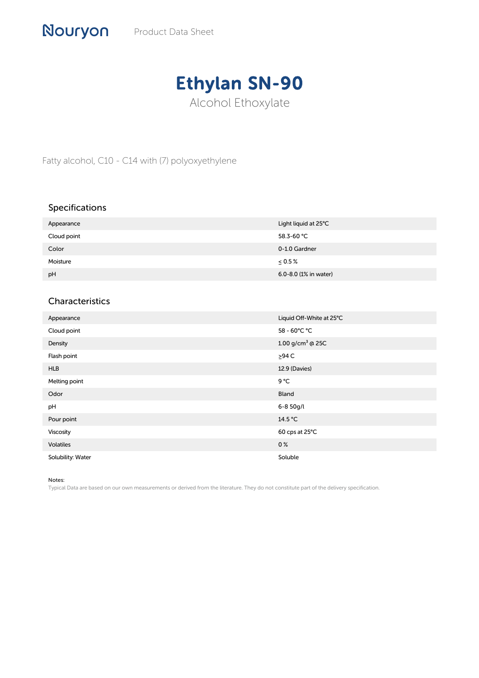

Fatty alcohol, C10 - C14 with (7) polyoxyethylene

## Specifications

| Appearance  | Light liquid at 25°C  |
|-------------|-----------------------|
| Cloud point | 58.3-60 °C            |
| Color       | 0-1.0 Gardner         |
| Moisture    | $\leq 0.5\%$          |
| pH          | 6.0-8.0 (1% in water) |

## Characteristics

| Appearance        | Liquid Off-White at 25°C     |
|-------------------|------------------------------|
| Cloud point       | 58 - 60°C °C                 |
| Density           | 1.00 g/cm <sup>3</sup> @ 25C |
| Flash point       | $>94$ C                      |
| <b>HLB</b>        | 12.9 (Davies)                |
| Melting point     | $9^{\circ}$ C                |
| Odor              | Bland                        |
| pH                | 6-8 50g/l                    |
| Pour point        | 14.5 °C                      |
| Viscosity         | 60 cps at 25°C               |
| <b>Volatiles</b>  | 0 <sup>%</sup>               |
| Solubility: Water | Soluble                      |

Notes:

Typical Data are based on our own measurements or derived from the literature. They do not constitute part of the delivery specification.